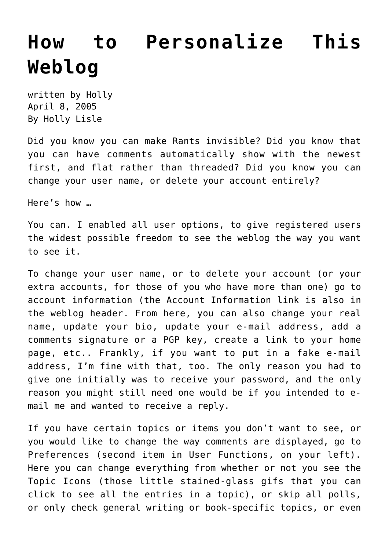## **[How to Personalize This](https://hollylisle.com/how-to-personalize-this-weblog/) [Weblog](https://hollylisle.com/how-to-personalize-this-weblog/)**

written by Holly April 8, 2005 [By Holly Lisle](https://hollylisle.com)

Did you know you can make Rants invisible? Did you know that you can have comments automatically show with the newest first, and flat rather than threaded? Did you know you can change your user name, or delete your account entirely?

Here's how …

You can. I enabled all user options, to give registered users the widest possible freedom to see the weblog the way you want to see it.

To change your user name, or to delete your account (or your extra accounts, for those of you who have more than one) [go to](https://web.archive.org/web/20060505145955/https://hollylisle.com/writingdiary/usersettings.php?mode=edit) [account information](https://web.archive.org/web/20060505145955/https://hollylisle.com/writingdiary/usersettings.php?mode=edit) (the Account Information link is also in the weblog header. From here, you can also change your real name, update your bio, update your e-mail address, add a comments signature or a PGP key, create a link to your home page, etc.. Frankly, if you want to put in a fake e-mail address, I'm fine with that, too. The only reason you had to give one initially was to receive your password, and the only reason you might still need one would be if you intended to email me and wanted to receive a reply.

If you have certain topics or items you don't want to see, or you would like to change the way comments are displayed, [go to](https://web.archive.org/web/20060505145955/https://hollylisle.com/writingdiary/usersettings.php?mode=preferences) [Preferences](https://web.archive.org/web/20060505145955/https://hollylisle.com/writingdiary/usersettings.php?mode=preferences) (second item in User Functions, on your left). Here you can change everything from whether or not you see the Topic Icons (those little stained-glass gifs that you can click to see all the entries in a topic), or skip all polls, or only check general writing or book-specific topics, or even